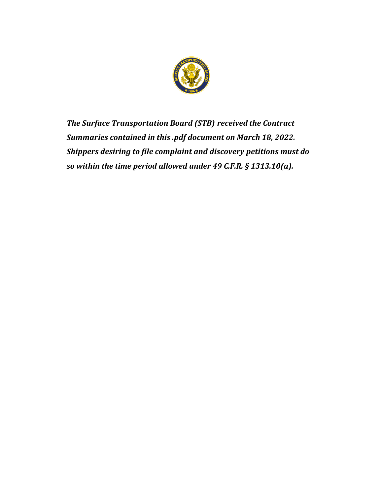

*The Surface Transportation Board (STB) received the Contract Summaries contained in this .pdf document on March 18, 2022. Shippers desiring to file complaint and discovery petitions must do so within the time period allowed under 49 C.F.R. § 1313.10(a).*